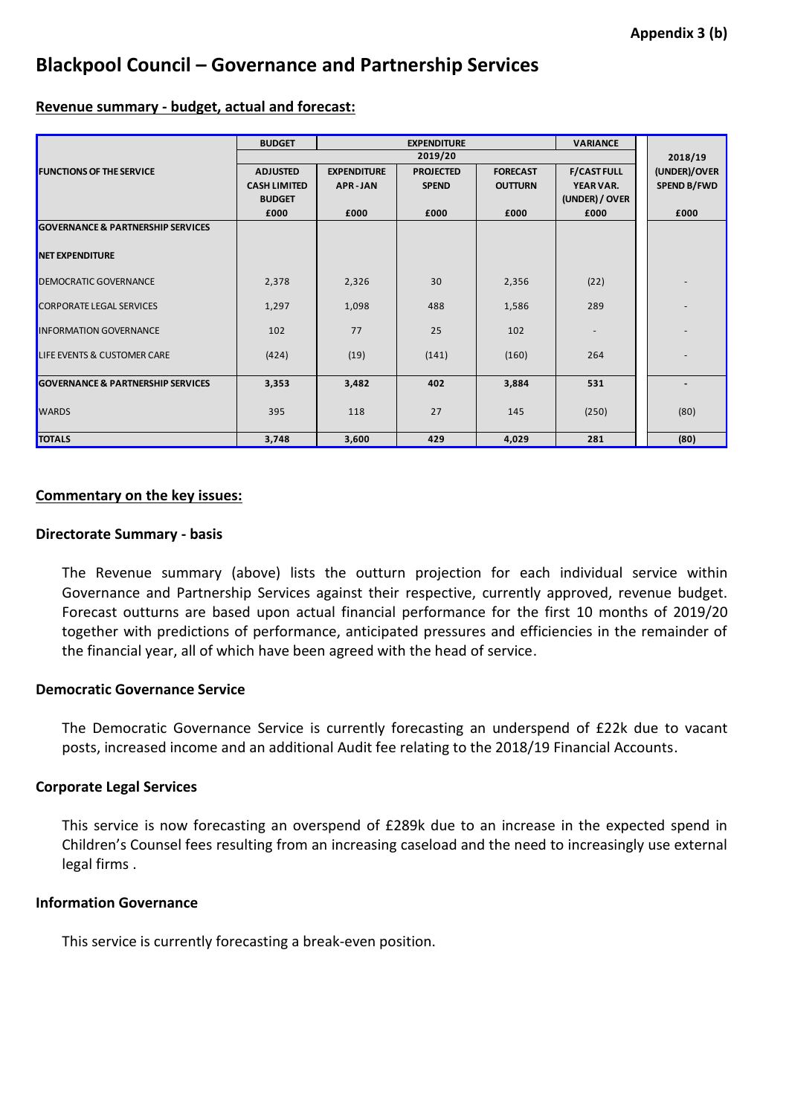# **Blackpool Council – Governance and Partnership Services**

#### **Revenue summary - budget, actual and forecast:**

|                                              | <b>BUDGET</b><br><b>EXPENDITURE</b> |                    |                  |                 | <b>VARIANCE</b>    |                    |
|----------------------------------------------|-------------------------------------|--------------------|------------------|-----------------|--------------------|--------------------|
|                                              | 2019/20                             |                    |                  |                 |                    | 2018/19            |
| <b>FUNCTIONS OF THE SERVICE</b>              | <b>ADJUSTED</b>                     | <b>EXPENDITURE</b> | <b>PROJECTED</b> | <b>FORECAST</b> | <b>F/CAST FULL</b> | (UNDER)/OVER       |
|                                              | <b>CASH LIMITED</b>                 | <b>APR-JAN</b>     | <b>SPEND</b>     | <b>OUTTURN</b>  | YEAR VAR.          | <b>SPEND B/FWD</b> |
|                                              | <b>BUDGET</b>                       |                    |                  |                 | (UNDER) / OVER     |                    |
|                                              | £000                                | £000               | £000             | £000            | £000               | £000               |
| <b>GOVERNANCE &amp; PARTNERSHIP SERVICES</b> |                                     |                    |                  |                 |                    |                    |
| <b>NET EXPENDITURE</b>                       |                                     |                    |                  |                 |                    |                    |
|                                              |                                     |                    |                  |                 |                    |                    |
| DEMOCRATIC GOVERNANCE                        | 2,378                               | 2,326              | 30               | 2,356           | (22)               |                    |
| <b>CORPORATE LEGAL SERVICES</b>              | 1,297                               | 1,098              | 488              | 1,586           | 289                |                    |
| <b>INFORMATION GOVERNANCE</b>                | 102                                 | 77                 | 25               | 102             |                    |                    |
| LIFE EVENTS & CUSTOMER CARE                  | (424)                               | (19)               | (141)            | (160)           | 264                |                    |
| <b>GOVERNANCE &amp; PARTNERSHIP SERVICES</b> | 3,353                               | 3,482              | 402              | 3,884           | 531                |                    |
| <b>WARDS</b>                                 | 395                                 | 118                | 27               | 145             | (250)              | (80)               |
| <b>TOTALS</b>                                | 3,748                               | 3,600              | 429              | 4,029           | 281                | (80)               |

## **Commentary on the key issues:**

## **Directorate Summary - basis**

The Revenue summary (above) lists the outturn projection for each individual service within Governance and Partnership Services against their respective, currently approved, revenue budget. Forecast outturns are based upon actual financial performance for the first 10 months of 2019/20 together with predictions of performance, anticipated pressures and efficiencies in the remainder of the financial year, all of which have been agreed with the head of service.

## **Democratic Governance Service**

The Democratic Governance Service is currently forecasting an underspend of £22k due to vacant posts, increased income and an additional Audit fee relating to the 2018/19 Financial Accounts.

## **Corporate Legal Services**

This service is now forecasting an overspend of £289k due to an increase in the expected spend in Children's Counsel fees resulting from an increasing caseload and the need to increasingly use external legal firms .

## **Information Governance**

This service is currently forecasting a break-even position.